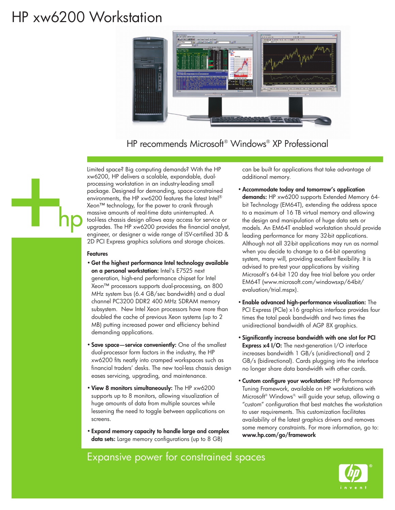# HP xw6200 Workstation



HP recommends Microsoft® Windows® XP Professional

Limited space? Big computing demands? With the HP xw6200, HP delivers a scalable, expandable, dualprocessing workstation in an industry-leading small package. Designed for demanding, space-constrained environments, the HP xw6200 features the latest Intel® Xeon™ technology, for the power to crank through massive amounts of real-time data uninterrupted. A tool-less chassis design allows easy access for service or upgrades. The HP xw6200 provides the financial analyst, engineer, or designer a wide range of ISV-certified 3D & 2D PCI Express graphics solutions and storage choices.

#### **Features**

- **Get the highest performance Intel technology available on a personal workstation:** Intel's E7525 next generation, high-end performance chipset for Intel Xeon™ processors supports dual-processing, an 800 MHz system bus (6.4 GB/sec bandwidth) and a dual channel PC3200 DDR2 400 MHz SDRAM memory subsystem. New Intel Xeon processors have more than doubled the cache of previous Xeon systems (up to 2 MB) putting increased power and efficiency behind demanding applications.
- **Save space—service conveniently:** One of the smallest dual-processor form factors in the industry, the HP xw6200 fits neatly into cramped workspaces such as financial traders' desks. The new tool-less chassis design eases servicing, upgrading, and maintenance.
- **View 8 monitors simultaneously:** The HP xw6200 supports up to 8 monitors, allowing visualization of huge amounts of data from multiple sources while lessening the need to toggle between applications on screens.
- **Expand memory capacity to handle large and complex data sets:** Large memory configurations (up to 8 GB)

can be built for applications that take advantage of additional memory.

- •**Accommodate today and tomorrow's application demands:** HP xw6200 supports Extended Memory 64 bit Technology (EM64T), extending the address space to a maximum of 16 TB virtual memory and allowing the design and manipulation of huge data sets or models. An EM64T enabled workstation should provide leading performance for many 32-bit applications. Although not all 32-bit applications may run as normal when you decide to change to a 64-bit operating system, many will, providing excellent flexibility. It is advised to pre-test your applications by visiting Microsoft's 64-bit 120 day free trial before you order EM64T (www.microsoft.com/windowsxp/64bit/ evaluation/trial.mspx).
- **Enable advanced high-performance visualization:** The PCI Express (PCIe) x16 graphics interface provides four times the total peak bandwidth and two times the unidirectional bandwidth of AGP 8X graphics.
- **Significantly increase bandwidth with one slot for PCI Express x4 I/O:** The next-generation I/O interface increases bandwidth 1 GB/s (unidirectional) and 2 GB/s (bidirectional). Cards plugging into the interface no longer share data bandwidth with other cards.
- **Custom configure your workstation:** HP Performance Tuning Framework, available on HP workstations with Microsoft® Windows®, will guide your setup, allowing a "custom" configuration that best matches the workstation to user requirements. This customization facilitates availability of the latest graphics drivers and removes some memory constraints. For more information, go to: **www.hp.com/go/framework**

### Expansive power for constrained spaces